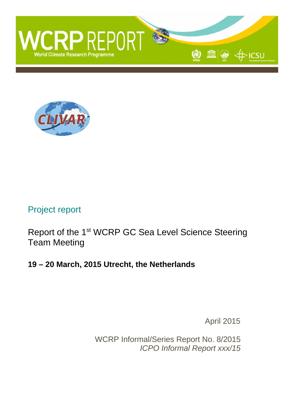



# Project report

Report of the 1st WCRP GC Sea Level Science Steering Team Meeting

# **19 – 20 March, 2015 Utrecht, the Netherlands**

April 2015

WCRP Informal/Series Report No. 8/2015 *ICPO Informal Report xxx/15*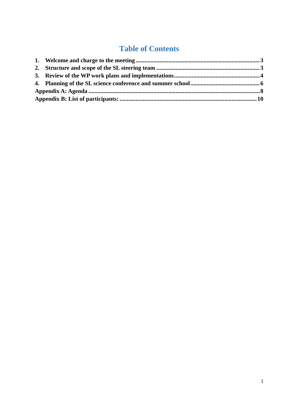# **Table of Contents**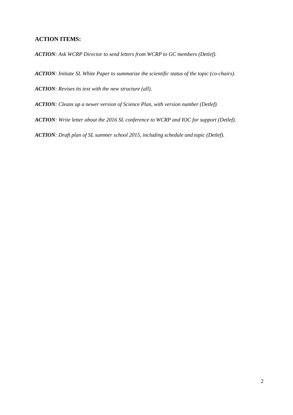### **ACTION ITEMS:**

*ACTION: Ask WCRP Director to send letters from WCRP to GC members (Detlef).* 

*ACTION: Initiate SL White Paper to summarize the scientific status of the topic (co-chairs).* 

*ACTION: Revises its text with the new structure (all).* 

*ACTION: Cleans up a newer version of Science Plan, with version number (Detlef).* 

*ACTION: Write letter about the 2016 SL conference to WCRP and IOC for support (Detlef).* 

*ACTION: Draft plan of SL summer school 2015, including schedule and topic (Detlef).*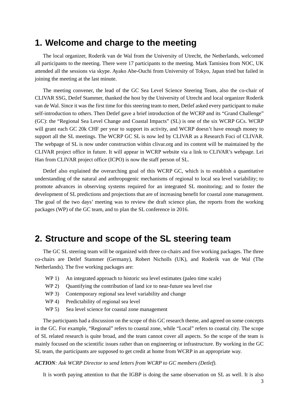## **1. Welcome and charge to the meeting**

The local organizer, Roderik van de Wal from the University of Utrecht, the Netherlands, welcomed all participants to the meeting. There were 17 participants to the meeting. Mark Tamisiea from NOC, UK attended all the sessions via skype. Ayako Abe-Ouchi from University of Tokyo, Japan tried but failed in joining the meeting at the last minute.

The meeting convener, the lead of the GC Sea Level Science Steering Team, also the co-chair of CLIVAR SSG, Detlef Stammer, thanked the host by the University of Utrecht and local organizer Roderik van de Wal. Since it was the first time for this steering team to meet, Detlef asked every participant to make self-introduction to others. Then Detlef gave a brief introduction of the WCRP and its "Grand Challenge" (GC): the "Regional Sea Level Change and Coastal Impacts" (SL) is one of the six WCRP GCs. WCRP will grant each GC 20k CHF per year to support its activity, and WCRP doesn't have enough money to support all the SL meetings. The WCRP GC SL is now led by CLIVAR as a Research Foci of CLIVAR. The webpage of SL is now under construction within clivar.org and its content will be maintained by the CLIVAR project office in future. It will appear in WCRP website via a link to CLIVAR's webpage. Lei Han from CLIVAR project office (ICPO) is now the staff person of SL.

Detlef also explained the overarching goal of this WCRP GC, which is to establish a quantitative understanding of the natural and anthropogenic mechanisms of regional to local sea level variability; to promote advances in observing systems required for an integrated SL monitoring; and to foster the development of SL predictions and projections that are of increasing benefit for coastal zone management. The goal of the two days' meeting was to review the draft science plan, the reports from the working packages (WP) of the GC team, and to plan the SL conference in 2016.

## **2. Structure and scope of the SL steering team**

The GC SL steering team will be organized with three co-chairs and five working packages. The three co-chairs are Detlef Stammer (Germany), Robert Nicholls (UK), and Roderik van de Wal (The Netherlands). The five working packages are:

- WP 1) An integrated approach to historic sea level estimates (paleo time scale)
- WP 2) Quantifying the contribution of land ice to near-future sea level rise
- WP 3) Contemporary regional sea level variability and change
- WP 4) Predictability of regional sea level
- WP 5) Sea level science for coastal zone management

The participants had a discussion on the scope of this GC research theme, and agreed on some concepts in the GC. For example, "Regional" refers to coastal zone, while "Local" refers to coastal city. The scope of SL related research is quite broad, and the team cannot cover all aspects. So the scope of the team is mainly focused on the scientific issues rather than on engineering or infrastructure. By working in the GC SL team, the participants are supposed to get credit at home from WCRP in an appropriate way.

*ACTION: Ask WCRP Director to send letters from WCRP to GC members (Detlef).* 

It is worth paying attention to that the IGBP is doing the same observation on SL as well. It is also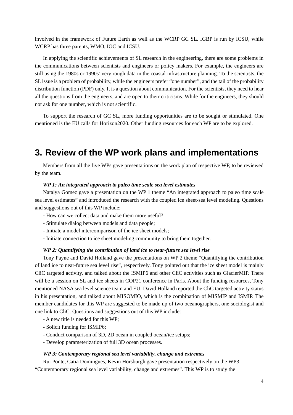involved in the framework of Future Earth as well as the WCRP GC SL. IGBP is run by ICSU, while WCRP has three parents, WMO, IOC and ICSU.

In applying the scientific achievements of SL research in the engineering, there are some problems in the communications between scientists and engineers or policy makers. For example, the engineers are still using the 1980s or 1990s' very rough data in the coastal infrastructure planning. To the scientists, the SL issue is a problem of probability, while the engineers prefer "one number", and the tail of the probability distribution function (PDF) only. It is a question about communication. For the scientists, they need to hear all the questions from the engineers, and are open to their criticisms. While for the engineers, they should not ask for one number, which is not scientific.

To support the research of GC SL, more funding opportunities are to be sought or stimulated. One mentioned is the EU calls for Horizon2020. Other funding resources for each WP are to be explored.

# **3. Review of the WP work plans and implementations**

Members from all the five WPs gave presentations on the work plan of respective WP, to be reviewed by the team.

#### *WP 1: An integrated approach to paleo time scale sea level estimates*

 Natalya Gomez gave a presentation on the WP 1 theme "An integrated approach to paleo time scale sea level estimates" and introduced the research with the coupled ice sheet-sea level modeling. Questions and suggestions out of this WP include:

- How can we collect data and make them more useful?
- Stimulate dialog between models and data people;
- Initiate a model intercomparison of the ice sheet models;
- Initiate connection to ice sheet modeling community to bring them together.

#### *WP 2: Quantifying the contribution of land ice to near-future sea level rise*

 Tony Payne and David Holland gave the presentations on WP 2 theme "Quantifying the contribution of land ice to near-future sea level rise", respectively. Tony pointed out that the ice sheet model is mainly CliC targeted activity, and talked about the ISMIP6 and other CliC activities such as GlacierMIP. There will be a session on SL and ice sheets in COP21 conference in Paris. About the funding resources, Tony mentioned NASA sea level science team and EU. David Holland reported the CliC targeted activity status in his presentation, and talked about MISOMIO, which is the combination of MISMIP and ISMIP. The member candidates for this WP are suggested to be made up of two oceanographers, one sociologist and one link to CliC. Questions and suggestions out of this WP include:

- A new title is needed for this WP;
- Solicit funding for ISMIP6;
- Conduct comparison of 3D, 2D ocean in coupled ocean/ice setups;
- Develop parameterization of full 3D ocean processes.

#### *WP 3: Contemporary regional sea level variability, change and extremes*

 Rui Ponte, Catia Domingues, Kevin Horsburgh gave presentation respectively on the WP3: "Contemporary regional sea level variability, change and extremes". This WP is to study the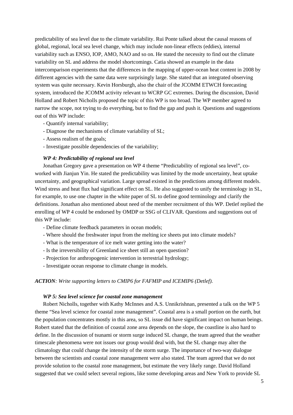predictability of sea level due to the climate variability. Rui Ponte talked about the causal reasons of global, regional, local sea level change, which may include non-linear effects (eddies), internal variability such as ENSO, IOP, AMO, NAO and so on. He stated the necessity to find out the climate variability on SL and address the model shortcomings. Catia showed an example in the data intercomparison experiments that the differences in the mapping of upper-ocean heat content in 2008 by different agencies with the same data were surprisingly large. She stated that an integrated observing system was quite necessary. Kevin Horsburgh, also the chair of the JCOMM ETWCH forecasting system, introduced the JCOMM activity relevant to WCRP GC extremes. During the discussion, David Holland and Robert Nicholls proposed the topic of this WP is too broad. The WP member agreed to narrow the scope, not trying to do everything, but to find the gap and push it. Questions and suggestions out of this WP include:

- Quantify internal variability;
- Diagnose the mechanisms of climate variability of SL;
- Assess realism of the goals;
- Investigate possible dependencies of the variability;

#### *WP 4: Predictability of regional sea level*

 Jonathan Gregory gave a presentation on WP 4 theme "Predictability of regional sea level", coworked with Jianjun Yin. He stated the predictability was limited by the mode uncertainty, heat uptake uncertainty, and geographical variation. Large spread existed in the predictions among different models. Wind stress and heat flux had significant effect on SL. He also suggested to unify the terminology in SL, for example, to use one chapter in the white paper of SL to define good terminology and clarify the definitions. Jonathan also mentioned about need of the member recruitment of this WP. Detlef replied the enrolling of WP 4 could be endorsed by OMDP or SSG of CLIVAR. Questions and suggestions out of this WP include:

- Define climate feedback parameters in ocean models;
- Where should the freshwater input from the melting ice sheets put into climate models?
- What is the temperature of ice melt water getting into the water?
- Is the irreversibility of Greenland ice sheet still an open question?
- Projection for anthropogenic intervention in terrestrial hydrology;
- Investigate ocean response to climate change in models.

#### *ACTION: Write supporting letters to CMIP6 for FAFMIP and ICEMIP6 (Detlef).*

#### *WP 5: Sea level science for coastal zone management*

 Robert Nicholls, together with Kathy McInnes and A.S. Unnikrishnan, presented a talk on the WP 5 theme "Sea level science for coastal zone management". Coastal area is a small portion on the earth, but the population concentrates mostly in this area, so SL issue did have significant impact on human beings. Robert stated that the definition of coastal zone area depends on the slope, the coastline is also hard to define. In the discussion of tsunami or storm surge induced SL change, the team agreed that the weather timescale phenomena were not issues our group would deal with, but the SL change may alter the climatology that could change the intensity of the storm surge. The importance of two-way dialogue between the scientists and coastal zone management were also stated. The team agreed that we do not provide solution to the coastal zone management, but estimate the very likely range. David Holland suggested that we could select several regions, like some developing areas and New York to provide SL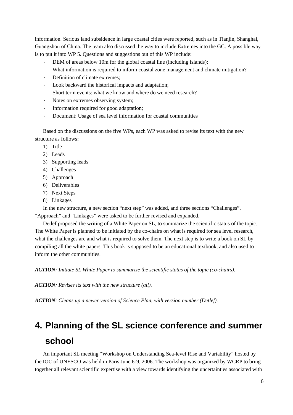information. Serious land subsidence in large coastal cities were reported, such as in Tianjin, Shanghai, Guangzhou of China. The team also discussed the way to include Extremes into the GC. A possible way is to put it into WP 5. Questions and suggestions out of this WP include:

- DEM of areas below 10m for the global coastal line (including islands);
- What information is required to inform coastal zone management and climate mitigation?
- Definition of climate extremes;
- Look backward the historical impacts and adaptation;
- Short term events: what we know and where do we need research?
- Notes on extremes observing system;
- Information required for good adaptation;
- Document: Usage of sea level information for coastal communities

Based on the discussions on the five WPs, each WP was asked to revise its text with the new structure as follows:

- 1) Title
- 2) Leads
- 3) Supporting leads
- 4) Challenges
- 5) Approach
- 6) Deliverables
- 7) Next Steps
- 8) Linkages

In the new structure, a new section "next step" was added, and three sections "Challenges",

"Approach" and "Linkages" were asked to be further revised and expanded.

Detlef proposed the writing of a White Paper on SL, to summarize the scientific status of the topic. The White Paper is planned to be initiated by the co-chairs on what is required for sea level research, what the challenges are and what is required to solve them. The next step is to write a book on SL by compiling all the white papers. This book is supposed to be an educational textbook, and also used to inform the other communities.

*ACTION: Initiate SL White Paper to summarize the scientific status of the topic (co-chairs).* 

*ACTION: Revises its text with the new structure (all).* 

*ACTION: Cleans up a newer version of Science Plan, with version number (Detlef).* 

# **4. Planning of the SL science conference and summer school**

An important SL meeting "Workshop on Understanding Sea-level Rise and Variability" hosted by the IOC of UNESCO was held in Paris June 6-9, 2006. The workshop was organized by WCRP to bring together all relevant scientific expertise with a view towards identifying the uncertainties associated with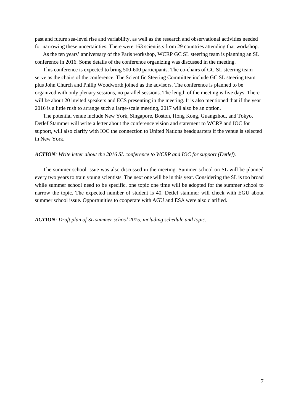past and future sea-level rise and variability, as well as the research and observational activities needed for narrowing these uncertainties. There were 163 scientists from 29 countries attending that workshop.

As the ten years' anniversary of the Paris workshop, WCRP GC SL steering team is planning an SL conference in 2016. Some details of the conference organizing was discussed in the meeting.

This conference is expected to bring 500-600 participants. The co-chairs of GC SL steering team serve as the chairs of the conference. The Scientific Steering Committee include GC SL steering team plus John Church and Philip Woodworth joined as the advisors. The conference is planned to be organized with only plenary sessions, no parallel sessions. The length of the meeting is five days. There will be about 20 invited speakers and ECS presenting in the meeting. It is also mentioned that if the year 2016 is a little rush to arrange such a large-scale meeting, 2017 will also be an option.

The potential venue include New York, Singapore, Boston, Hong Kong, Guangzhou, and Tokyo. Detlef Stammer will write a letter about the conference vision and statement to WCRP and IOC for support, will also clarify with IOC the connection to United Nations headquarters if the venue is selected in New York.

#### *ACTION: Write letter about the 2016 SL conference to WCRP and IOC for support (Detlef).*

The summer school issue was also discussed in the meeting. Summer school on SL will be planned every two years to train young scientists. The next one will be in this year. Considering the SL is too broad while summer school need to be specific, one topic one time will be adopted for the summer school to narrow the topic. The expected number of student is 40. Detlef stammer will check with EGU about summer school issue. Opportunities to cooperate with AGU and ESA were also clarified.

*ACTION: Draft plan of SL summer school 2015, including schedule and topic.*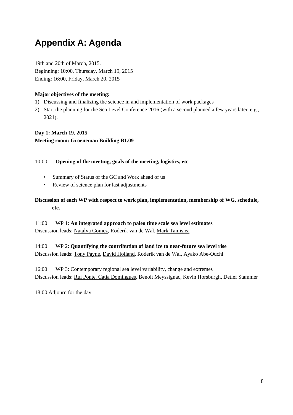# **Appendix A: Agenda**

19th and 20th of March, 2015. Beginning: 10:00, Thursday, March 19, 2015 Ending: 16:00, Friday, March 20, 2015

## **Major objectives of the meeting:**

- 1) Discussing and finalizing the science in and implementation of work packages
- 2) Start the planning for the Sea Level Conference 2016 (with a second planned a few years later, e.g., 2021).

**Day 1: March 19, 2015 Meeting room: Groeneman Building B1.09** 

### 10:00 **Opening of the meeting, goals of the meeting, logistics, etc**

- Summary of Status of the GC and Work ahead of us
- Review of science plan for last adjustments

## **Discussion of each WP with respect to work plan, implementation, membership of WG, schedule, etc.**

11:00 WP 1: **An integrated approach to paleo time scale sea level estimates** Discussion leads: Natalya Gomez, Roderik van de Wal, Mark Tamisiea

14:00 WP 2: **Quantifying the contribution of land ice to near-future sea level rise** Discussion leads: Tony Payne, David Holland, Roderik van de Wal, Ayako Abe-Ouchi

16:00 WP 3: Contemporary regional sea level variability, change and extremes Discussion leads: Rui Ponte, Catia Domingues, Benoit Meyssignac, Kevin Horsburgh, Detlef Stammer

18:00 Adjourn for the day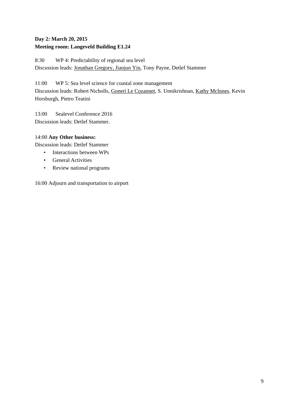## **Day 2: March 20, 2015 Meeting room: Langeveld Building E1.24**

8:30 WP 4: Predictability of regional sea level Discussion leads: Jonathan Gregory, Jianjun Yin, Tony Payne, Detlef Stammer

11:00 WP 5: Sea level science for coastal zone management Discussion leads: Robert Nicholls, Goneri Le Cozannet, S. Unnikrishnan, Kathy McInnes, Kevin Horsburgh, Pietro Teatini

13:00 Sealevel Conference 2016 Discussion leads: Detlef Stammer.

### 14:00 **Any Other business:**

Discussion leads: Detlef Stammer

- Interactions between WPs
- General Activities
- Review national programs

16:00 Adjourn and transportation to airport